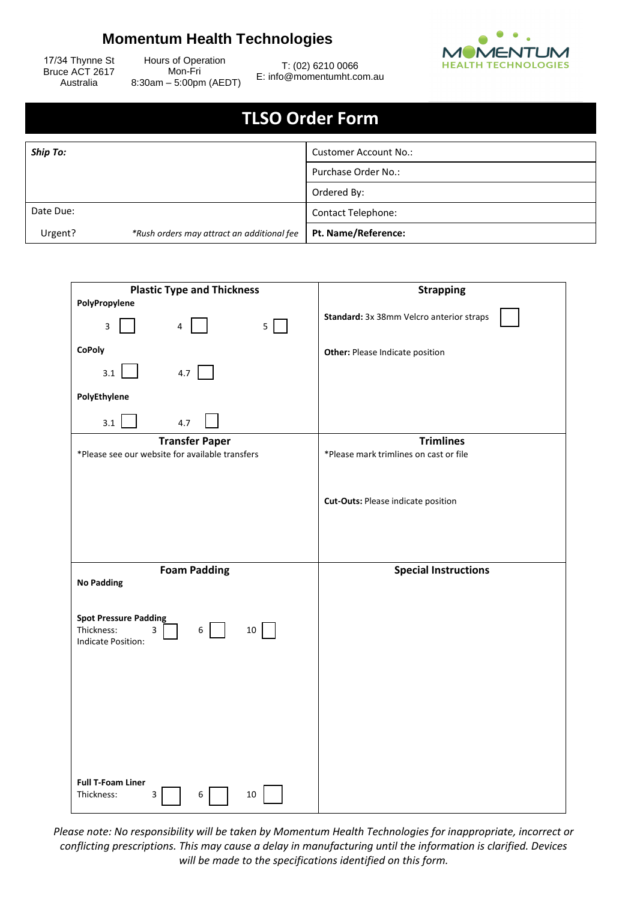## **Momentum Health Technologies**



17/34 Thynne St Bruce ACT 2617 Australia

Hours of Operation Mon-Fri 8:30am – 5:00pm (AEDT)

T: (02) 6210 0066 E: info@momentumht.com.au

## **TLSO Order Form**

| <b>Ship To:</b> |                                            | <b>Customer Account No.:</b> |
|-----------------|--------------------------------------------|------------------------------|
|                 |                                            | Purchase Order No.:          |
|                 |                                            | Ordered By:                  |
| Date Due:       |                                            | <b>Contact Telephone:</b>    |
| Urgent?         | *Rush orders may attract an additional fee | Pt. Name/Reference:          |

| <b>Plastic Type and Thickness</b>                          | <b>Strapping</b>                          |
|------------------------------------------------------------|-------------------------------------------|
| PolyPropylene                                              |                                           |
| $5 \mid$<br>3<br>$\overline{4}$                            | Standard: 3x 38mm Velcro anterior straps  |
| <b>CoPoly</b>                                              | Other: Please Indicate position           |
| 4.7<br>3.1                                                 |                                           |
| PolyEthylene                                               |                                           |
| 3.1<br>4.7                                                 |                                           |
| <b>Transfer Paper</b>                                      | <b>Trimlines</b>                          |
| *Please see our website for available transfers            | *Please mark trimlines on cast or file    |
|                                                            |                                           |
|                                                            | <b>Cut-Outs: Please indicate position</b> |
|                                                            |                                           |
|                                                            |                                           |
|                                                            |                                           |
| <b>Foam Padding</b>                                        | <b>Special Instructions</b>               |
| <b>No Padding</b>                                          |                                           |
|                                                            |                                           |
| <b>Spot Pressure Padding</b><br>10<br>Thickness:<br>3<br>6 |                                           |
| Indicate Position:                                         |                                           |
|                                                            |                                           |
|                                                            |                                           |
|                                                            |                                           |
|                                                            |                                           |
|                                                            |                                           |
|                                                            |                                           |
|                                                            |                                           |
|                                                            |                                           |
| <b>Full T-Foam Liner</b><br>$10\,$<br>Thickness:<br>3<br>6 |                                           |

*Please note: No responsibility will be taken by Momentum Health Technologies for inappropriate, incorrect or conflicting prescriptions. This may cause a delay in manufacturing until the information is clarified. Devices will be made to the specifications identified on this form.*